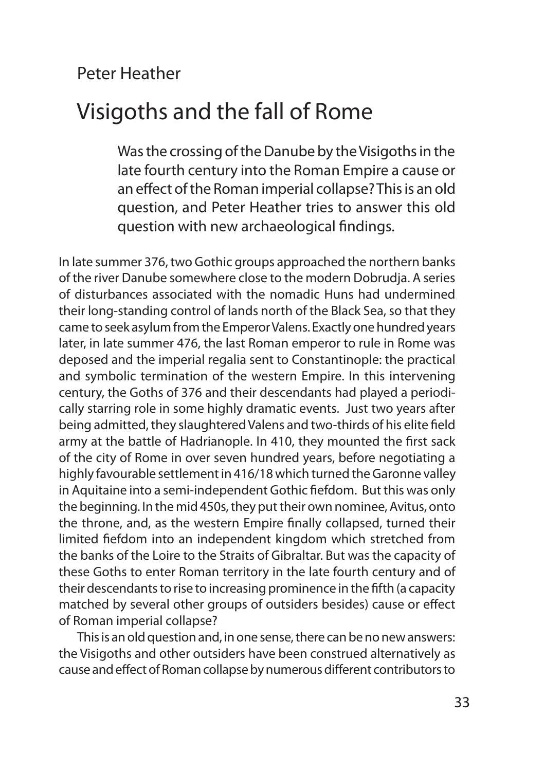## Peter Heather

# Visigoths and the fall of Rome

Was the crossing of the Danube by the Visigoths in the late fourth century into the Roman Empire a cause or an effect of the Roman imperial collapse? This is an old question, and Peter Heather tries to answer this old question with new archaeological findings.

In late summer 376, two Gothic groups approached the northern banks of the river Danube somewhere close to the modern Dobrudja. A series of disturbances associated with the nomadic Huns had undermined their long-standing control of lands north of the Black Sea, so that they came to seek asylum from the Emperor Valens. Exactly one hundred years later, in late summer 476, the last Roman emperor to rule in Rome was deposed and the imperial regalia sent to Constantinople: the practical and symbolic termination of the western Empire. In this intervening century, the Goths of 376 and their descendants had played a periodically starring role in some highly dramatic events. Just two years after being admitted, they slaughtered Valens and two-thirds of his elite field army at the battle of Hadrianople. In 410, they mounted the first sack of the city of Rome in over seven hundred years, before negotiating a highly favourable settlement in 416/18 which turned the Garonne valley in Aquitaine into a semi-independent Gothic fiefdom. But this was only the beginning. In the mid 450s, they put their own nominee, Avitus, onto the throne, and, as the western Empire finally collapsed, turned their limited fiefdom into an independent kingdom which stretched from the banks of the Loire to the Straits of Gibraltar. But was the capacity of these Goths to enter Roman territory in the late fourth century and of their descendants to rise to increasing prominence in the fifth (a capacity matched by several other groups of outsiders besides) cause or effect of Roman imperial collapse?

This is an old question and, in one sense, there can be no new answers: the Visigoths and other outsiders have been construed alternatively as cause and effect of Roman collapse by numerous different contributors to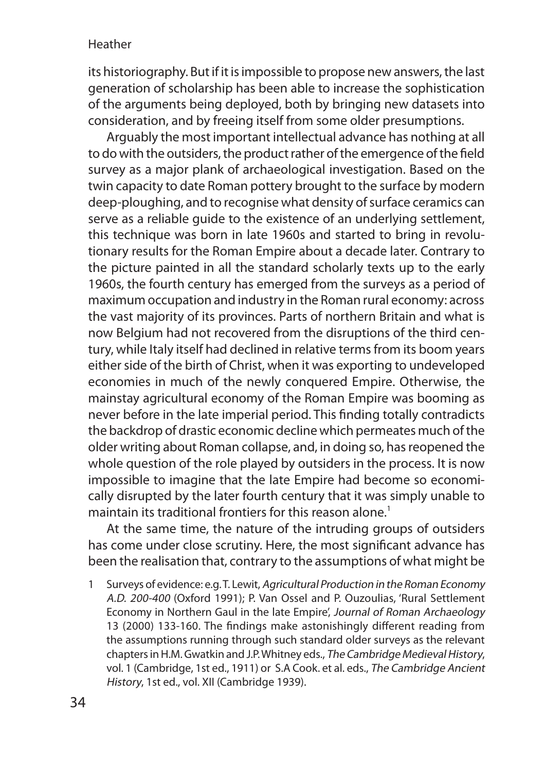its historiography. But if it is impossible to propose new answers, the last generation of scholarship has been able to increase the sophistication of the arguments being deployed, both by bringing new datasets into consideration, and by freeing itself from some older presumptions.

Arguably the most important intellectual advance has nothing at all to do with the outsiders, the product rather of the emergence of the field survey as a major plank of archaeological investigation. Based on the twin capacity to date Roman pottery brought to the surface by modern deep-ploughing, and to recognise what density of surface ceramics can serve as a reliable guide to the existence of an underlying settlement, this technique was born in late 1960s and started to bring in revolutionary results for the Roman Empire about a decade later. Contrary to the picture painted in all the standard scholarly texts up to the early 1960s, the fourth century has emerged from the surveys as a period of maximum occupation and industry in the Roman rural economy: across the vast majority of its provinces. Parts of northern Britain and what is now Belgium had not recovered from the disruptions of the third century, while Italy itself had declined in relative terms from its boom years either side of the birth of Christ, when it was exporting to undeveloped economies in much of the newly conquered Empire. Otherwise, the mainstay agricultural economy of the Roman Empire was booming as never before in the late imperial period. This finding totally contradicts the backdrop of drastic economic decline which permeates much of the older writing about Roman collapse, and, in doing so, has reopened the whole question of the role played by outsiders in the process. It is now impossible to imagine that the late Empire had become so economically disrupted by the later fourth century that it was simply unable to maintain its traditional frontiers for this reason alone.<sup>1</sup>

At the same time, the nature of the intruding groups of outsiders has come under close scrutiny. Here, the most significant advance has been the realisation that, contrary to the assumptions of what might be

1 Surveys of evidence: e.g. T. Lewit, Agricultural Production in the Roman Economy A.D. 200-400 (Oxford 1991); P. Van Ossel and P. Ouzoulias, 'Rural Settlement Economy in Northern Gaul in the late Empire', Journal of Roman Archaeology 13 (2000) 133-160. The findings make astonishingly different reading from the assumptions running through such standard older surveys as the relevant chapters in H.M. Gwatkin and J.P. Whitney eds., The Cambridge Medieval History, vol. 1 (Cambridge, 1st ed., 1911) or S.A Cook. et al. eds., The Cambridge Ancient History, 1st ed., vol. XII (Cambridge 1939).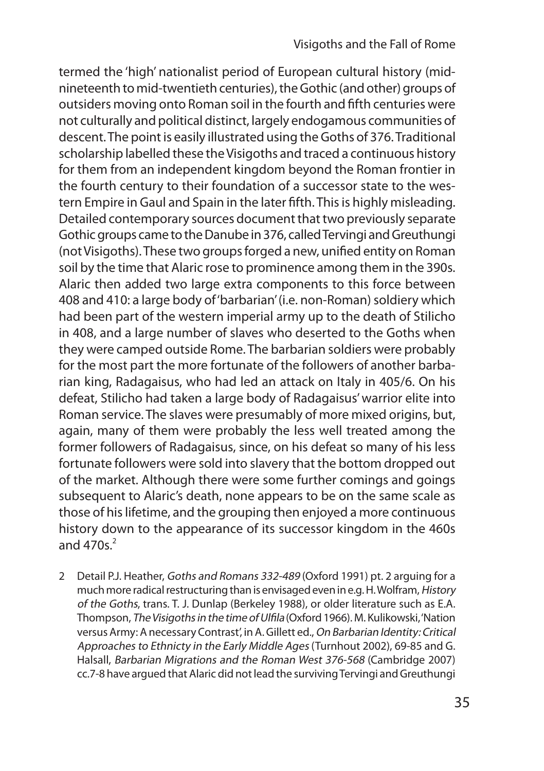termed the 'high' nationalist period of European cultural history (midnineteenth to mid-twentieth centuries), the Gothic (and other) groups of outsiders moving onto Roman soil in the fourth and fifth centuries were not culturally and political distinct, largely endogamous communities of descent. The point is easily illustrated using the Goths of 376. Traditional scholarship labelled these the Visigoths and traced a continuous history for them from an independent kingdom beyond the Roman frontier in the fourth century to their foundation of a successor state to the western Empire in Gaul and Spain in the later fifth. This is highly misleading. Detailed contemporary sources document that two previously separate Gothic groups came to the Danube in 376, called Tervingi and Greuthungi (not Visigoths). These two groups forged a new, unified entity on Roman soil by the time that Alaric rose to prominence among them in the 390s. Alaric then added two large extra components to this force between 408 and 410: a large body of 'barbarian' (i.e. non-Roman) soldiery which had been part of the western imperial army up to the death of Stilicho in 408, and a large number of slaves who deserted to the Goths when they were camped outside Rome. The barbarian soldiers were probably for the most part the more fortunate of the followers of another barbarian king, Radagaisus, who had led an attack on Italy in 405/6. On his defeat, Stilicho had taken a large body of Radagaisus' warrior elite into Roman service. The slaves were presumably of more mixed origins, but, again, many of them were probably the less well treated among the former followers of Radagaisus, since, on his defeat so many of his less fortunate followers were sold into slavery that the bottom dropped out of the market. Although there were some further comings and goings subsequent to Alaric's death, none appears to be on the same scale as those of his lifetime, and the grouping then enjoyed a more continuous history down to the appearance of its successor kingdom in the 460s and  $470s<sup>2</sup>$ 

2 Detail P.J. Heather, Goths and Romans 332-489 (Oxford 1991) pt. 2 arguing for a much more radical restructuring than is envisaged even in e.g. H. Wolfram, History of the Goths, trans. T. J. Dunlap (Berkeley 1988), or older literature such as E.A. Thompson, The Visigoths in the time of Ulfila (Oxford 1966). M. Kulikowski, 'Nation versus Army: A necessary Contrast', in A. Gillett ed., On Barbarian Identity: Critical Approaches to Ethnicty in the Early Middle Ages (Turnhout 2002), 69-85 and G. Halsall, Barbarian Migrations and the Roman West 376-568 (Cambridge 2007) cc.7-8 have argued that Alaric did not lead the surviving Tervingi and Greuthungi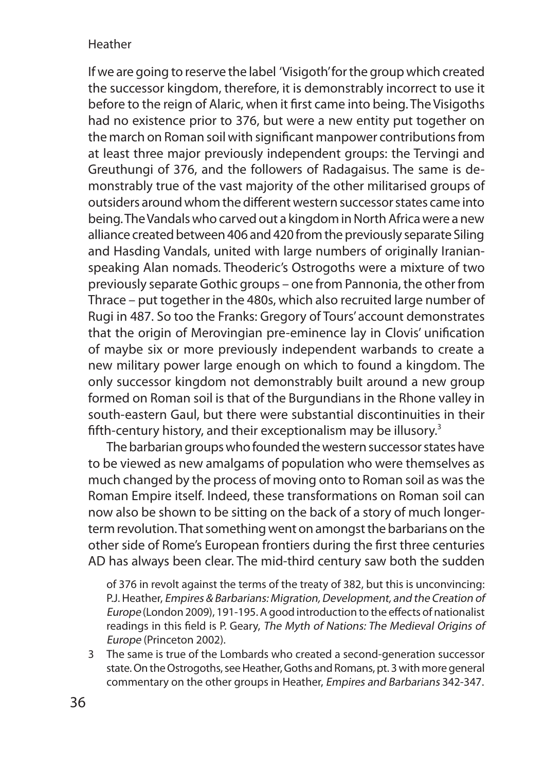If we are going to reserve the label 'Visigoth' for the group which created the successor kingdom, therefore, it is demonstrably incorrect to use it before to the reign of Alaric, when it first came into being. The Visigoths had no existence prior to 376, but were a new entity put together on the march on Roman soil with significant manpower contributions from at least three major previously independent groups: the Tervingi and Greuthungi of 376, and the followers of Radagaisus. The same is demonstrably true of the vast majority of the other militarised groups of outsiders around whom the different western successor states came into being. The Vandals who carved out a kingdom in North Africa were a new alliance created between 406 and 420 from the previously separate Siling and Hasding Vandals, united with large numbers of originally Iranianspeaking Alan nomads. Theoderic's Ostrogoths were a mixture of two previously separate Gothic groups – one from Pannonia, the other from Thrace – put together in the 480s, which also recruited large number of Rugi in 487. So too the Franks: Gregory of Tours' account demonstrates that the origin of Merovingian pre-eminence lay in Clovis' unification of maybe six or more previously independent warbands to create a new military power large enough on which to found a kingdom. The only successor kingdom not demonstrably built around a new group formed on Roman soil is that of the Burgundians in the Rhone valley in south-eastern Gaul, but there were substantial discontinuities in their fifth-century history, and their exceptionalism may be illusory.<sup>3</sup>

The barbarian groups who founded the western successor states have to be viewed as new amalgams of population who were themselves as much changed by the process of moving onto to Roman soil as was the Roman Empire itself. Indeed, these transformations on Roman soil can now also be shown to be sitting on the back of a story of much longerterm revolution. That something went on amongst the barbarians on the other side of Rome's European frontiers during the first three centuries AD has always been clear. The mid-third century saw both the sudden

of 376 in revolt against the terms of the treaty of 382, but this is unconvincing: P.J. Heather, Empires & Barbarians: Migration, Development, and the Creation of Europe (London 2009), 191-195. A good introduction to the effects of nationalist readings in this field is P. Geary, The Myth of Nations: The Medieval Origins of Europe (Princeton 2002).

3 The same is true of the Lombards who created a second-generation successor state. On the Ostrogoths, see Heather, Goths and Romans, pt. 3 with more general commentary on the other groups in Heather, Empires and Barbarians 342-347.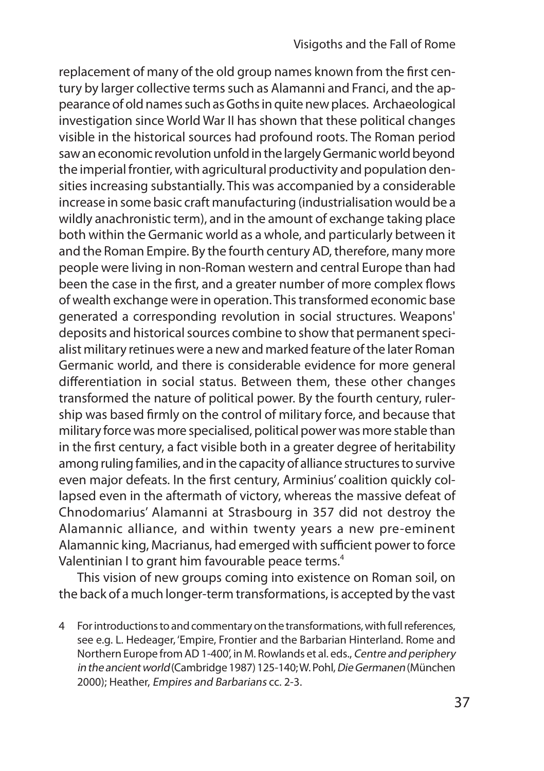replacement of many of the old group names known from the first century by larger collective terms such as Alamanni and Franci, and the appearance of old names such as Goths in quite new places. Archaeological investigation since World War II has shown that these political changes visible in the historical sources had profound roots. The Roman period saw an economic revolution unfold in the largely Germanic world beyond the imperial frontier, with agricultural productivity and population densities increasing substantially. This was accompanied by a considerable increase in some basic craft manufacturing (industrialisation would be a wildly anachronistic term), and in the amount of exchange taking place both within the Germanic world as a whole, and particularly between it and the Roman Empire. By the fourth century AD, therefore, many more people were living in non-Roman western and central Europe than had been the case in the first, and a greater number of more complex flows of wealth exchange were in operation. This transformed economic base generated a corresponding revolution in social structures. Weapons' deposits and historical sources combine to show that permanent specialist military retinues were a new and marked feature of the later Roman Germanic world, and there is considerable evidence for more general differentiation in social status. Between them, these other changes transformed the nature of political power. By the fourth century, rulership was based firmly on the control of military force, and because that military force was more specialised, political power was more stable than in the first century, a fact visible both in a greater degree of heritability among ruling families, and in the capacity of alliance structures to survive even major defeats. In the first century, Arminius' coalition quickly collapsed even in the aftermath of victory, whereas the massive defeat of Chnodomarius' Alamanni at Strasbourg in 357 did not destroy the Alamannic alliance, and within twenty years a new pre-eminent Alamannic king, Macrianus, had emerged with sufficient power to force Valentinian I to grant him favourable peace terms.<sup>4</sup>

This vision of new groups coming into existence on Roman soil, on the back of a much longer-term transformations, is accepted by the vast

4 For introductions to and commentary on the transformations, with full references, see e.g. L. Hedeager, 'Empire, Frontier and the Barbarian Hinterland. Rome and Northern Europe from AD 1-400', in M. Rowlands et al. eds., Centre and periphery in the ancient world (Cambridge 1987) 125-140; W. Pohl, Die Germanen (München 2000); Heather, Empires and Barbarians cc. 2-3.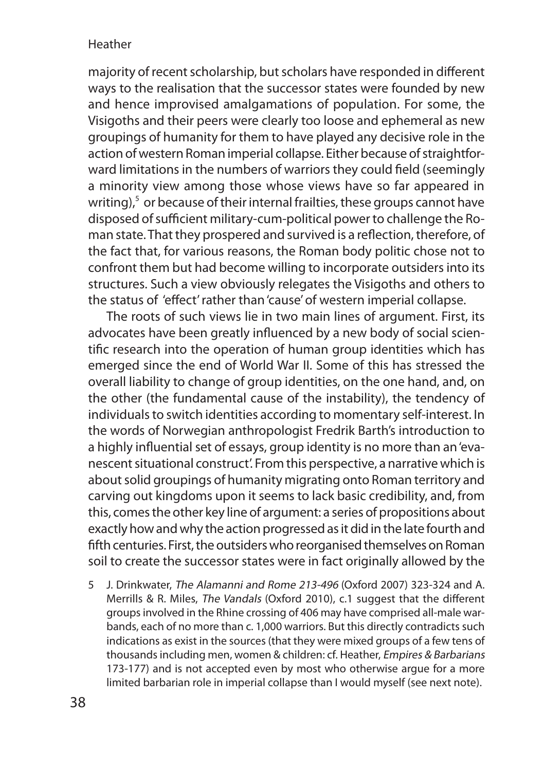majority of recent scholarship, but scholars have responded in different ways to the realisation that the successor states were founded by new and hence improvised amalgamations of population. For some, the Visigoths and their peers were clearly too loose and ephemeral as new groupings of humanity for them to have played any decisive role in the action of western Roman imperial collapse. Either because of straightforward limitations in the numbers of warriors they could field (seemingly a minority view among those whose views have so far appeared in writing),<sup>5</sup> or because of their internal frailties, these groups cannot have disposed of sufficient military-cum-political power to challenge the Roman state. That they prospered and survived is a reflection, therefore, of the fact that, for various reasons, the Roman body politic chose not to confront them but had become willing to incorporate outsiders into its structures. Such a view obviously relegates the Visigoths and others to the status of 'effect' rather than 'cause' of western imperial collapse.

The roots of such views lie in two main lines of argument. First, its advocates have been greatly influenced by a new body of social scientific research into the operation of human group identities which has emerged since the end of World War II. Some of this has stressed the overall liability to change of group identities, on the one hand, and, on the other (the fundamental cause of the instability), the tendency of individuals to switch identities according to momentary self-interest. In the words of Norwegian anthropologist Fredrik Barth's introduction to a highly influential set of essays, group identity is no more than an 'evanescent situational construct'. From this perspective, a narrative which is about solid groupings of humanity migrating onto Roman territory and carving out kingdoms upon it seems to lack basic credibility, and, from this, comes the other key line of argument: a series of propositions about exactly how and why the action progressed as it did in the late fourth and fifth centuries. First, the outsiders who reorganised themselves on Roman soil to create the successor states were in fact originally allowed by the

5 J. Drinkwater, The Alamanni and Rome 213-496 (Oxford 2007) 323-324 and A. Merrills & R. Miles, The Vandals (Oxford 2010), c.1 suggest that the different groups involved in the Rhine crossing of 406 may have comprised all-male warbands, each of no more than c. 1,000 warriors. But this directly contradicts such indications as exist in the sources (that they were mixed groups of a few tens of thousands including men, women & children: cf. Heather, Empires & Barbarians 173-177) and is not accepted even by most who otherwise argue for a more limited barbarian role in imperial collapse than I would myself (see next note).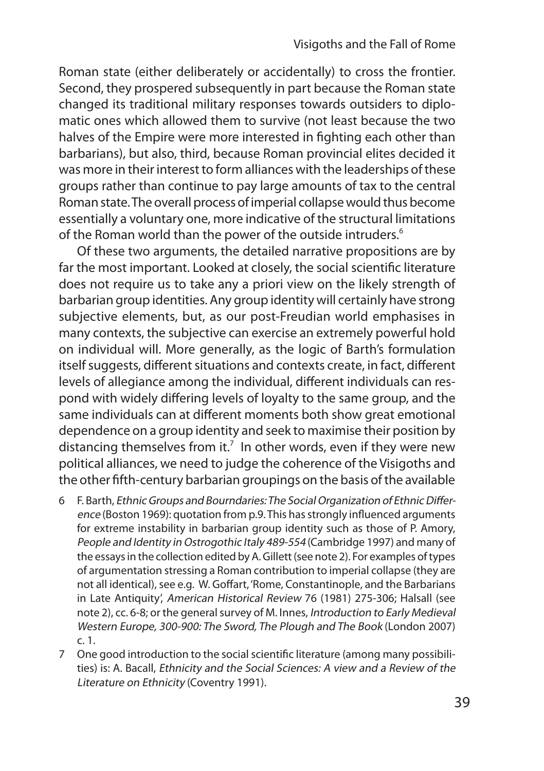Roman state (either deliberately or accidentally) to cross the frontier. Second, they prospered subsequently in part because the Roman state changed its traditional military responses towards outsiders to diplomatic ones which allowed them to survive (not least because the two halves of the Empire were more interested in fighting each other than barbarians), but also, third, because Roman provincial elites decided it was more in their interest to form alliances with the leaderships of these groups rather than continue to pay large amounts of tax to the central Roman state. The overall process of imperial collapse would thus become essentially a voluntary one, more indicative of the structural limitations of the Roman world than the power of the outside intruders.<sup>6</sup>

Of these two arguments, the detailed narrative propositions are by far the most important. Looked at closely, the social scientific literature does not require us to take any a priori view on the likely strength of barbarian group identities. Any group identity will certainly have strong subjective elements, but, as our post-Freudian world emphasises in many contexts, the subjective can exercise an extremely powerful hold on individual will. More generally, as the logic of Barth's formulation itself suggests, different situations and contexts create, in fact, different levels of allegiance among the individual, different individuals can respond with widely differing levels of loyalty to the same group, and the same individuals can at different moments both show great emotional dependence on a group identity and seek to maximise their position by distancing themselves from it.<sup>7</sup> In other words, even if they were new political alliances, we need to judge the coherence of the Visigoths and the other fifth-century barbarian groupings on the basis of the available

- 6 F. Barth, Ethnic Groups and Bourndaries: The Social Organization of Ethnic Difference (Boston 1969): quotation from p.9. This has strongly influenced arguments for extreme instability in barbarian group identity such as those of P. Amory, People and Identity in Ostrogothic Italy 489-554 (Cambridge 1997) and many of the essays in the collection edited by A. Gillett (see note 2). For examples of types of argumentation stressing a Roman contribution to imperial collapse (they are not all identical), see e.g. W. Goffart, 'Rome, Constantinople, and the Barbarians in Late Antiquity', American Historical Review 76 (1981) 275-306; Halsall (see note 2), cc. 6-8; or the general survey of M. Innes, Introduction to Early Medieval Western Europe, 300-900: The Sword, The Plough and The Book (London 2007) c. 1.
- 7 One good introduction to the social scientific literature (among many possibilities) is: A. Bacall, Ethnicity and the Social Sciences: A view and a Review of the Literature on Ethnicity (Coventry 1991).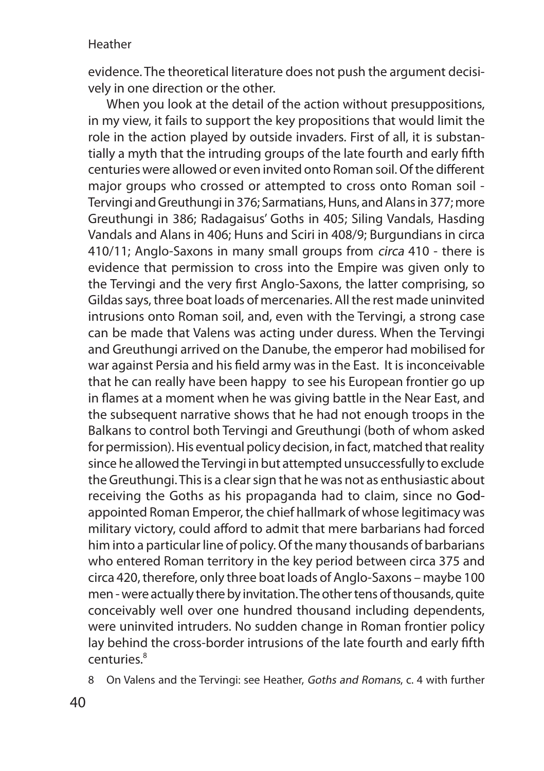evidence. The theoretical literature does not push the argument decisively in one direction or the other.

When you look at the detail of the action without presuppositions, in my view, it fails to support the key propositions that would limit the role in the action played by outside invaders. First of all, it is substantially a myth that the intruding groups of the late fourth and early fifth centuries were allowed or even invited onto Roman soil. Of the different major groups who crossed or attempted to cross onto Roman soil - Tervingi and Greuthungi in 376; Sarmatians, Huns, and Alans in 377; more Greuthungi in 386; Radagaisus' Goths in 405; Siling Vandals, Hasding Vandals and Alans in 406; Huns and Sciri in 408/9; Burgundians in circa 410/11; Anglo-Saxons in many small groups from circa 410 - there is evidence that permission to cross into the Empire was given only to the Tervingi and the very first Anglo-Saxons, the latter comprising, so Gildas says, three boat loads of mercenaries. All the rest made uninvited intrusions onto Roman soil, and, even with the Tervingi, a strong case can be made that Valens was acting under duress. When the Tervingi and Greuthungi arrived on the Danube, the emperor had mobilised for war against Persia and his field army was in the East. It is inconceivable that he can really have been happy to see his European frontier go up in flames at a moment when he was giving battle in the Near East, and the subsequent narrative shows that he had not enough troops in the Balkans to control both Tervingi and Greuthungi (both of whom asked for permission). His eventual policy decision, in fact, matched that reality since he allowed the Tervingi in but attempted unsuccessfully to exclude the Greuthungi. This is a clear sign that he was not as enthusiastic about receiving the Goths as his propaganda had to claim, since no Godappointed Roman Emperor, the chief hallmark of whose legitimacy was military victory, could afford to admit that mere barbarians had forced him into a particular line of policy. Of the many thousands of barbarians who entered Roman territory in the key period between circa 375 and circa 420, therefore, only three boat loads of Anglo-Saxons – maybe 100 men - were actually there by invitation. The other tens of thousands, quite conceivably well over one hundred thousand including dependents, were uninvited intruders. No sudden change in Roman frontier policy lay behind the cross-border intrusions of the late fourth and early fifth centuries.<sup>8</sup>

8 On Valens and the Tervingi: see Heather, Goths and Romans, c. 4 with further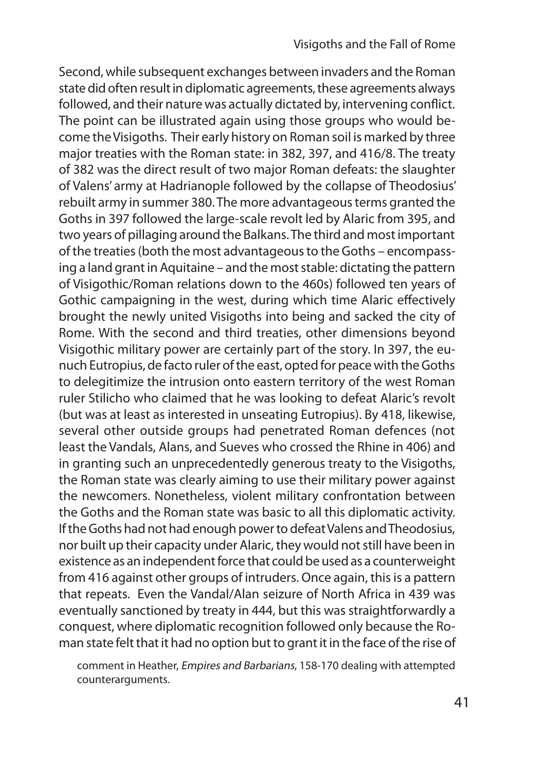Second, while subsequent exchanges between invaders and the Roman state did often result in diplomatic agreements, these agreements always followed, and their nature was actually dictated by, intervening conflict. The point can be illustrated again using those groups who would become the Visigoths. Their early history on Roman soil is marked by three major treaties with the Roman state: in 382, 397, and 416/8. The treaty of 382 was the direct result of two major Roman defeats: the slaughter of Valens' army at Hadrianople followed by the collapse of Theodosius' rebuilt army in summer 380. The more advantageous terms granted the Goths in 397 followed the large-scale revolt led by Alaric from 395, and two years of pillaging around the Balkans. The third and most important of the treaties (both the most advantageous to the Goths – encompassing a land grant in Aquitaine – and the most stable: dictating the pattern of Visigothic/Roman relations down to the 460s) followed ten years of Gothic campaigning in the west, during which time Alaric effectively brought the newly united Visigoths into being and sacked the city of Rome. With the second and third treaties, other dimensions beyond Visigothic military power are certainly part of the story. In 397, the eunuch Eutropius, de facto ruler of the east, opted for peace with the Goths to delegitimize the intrusion onto eastern territory of the west Roman ruler Stilicho who claimed that he was looking to defeat Alaric's revolt (but was at least as interested in unseating Eutropius). By 418, likewise, several other outside groups had penetrated Roman defences (not least the Vandals, Alans, and Sueves who crossed the Rhine in 406) and in granting such an unprecedentedly generous treaty to the Visigoths, the Roman state was clearly aiming to use their military power against the newcomers. Nonetheless, violent military confrontation between the Goths and the Roman state was basic to all this diplomatic activity. If the Goths had not had enough power to defeat Valens and Theodosius, nor built up their capacity under Alaric, they would not still have been in existence as an independent force that could be used as a counterweight from 416 against other groups of intruders. Once again, this is a pattern that repeats. Even the Vandal/Alan seizure of North Africa in 439 was eventually sanctioned by treaty in 444, but this was straightforwardly a conquest, where diplomatic recognition followed only because the Roman state felt that it had no option but to grant it in the face of the rise of

comment in Heather, Empires and Barbarians, 158-170 dealing with attempted counterarguments.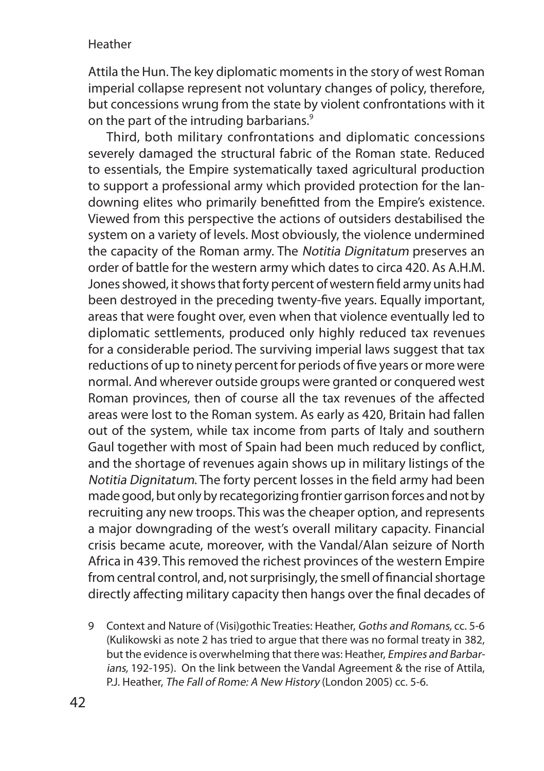Attila the Hun. The key diplomatic moments in the story of west Roman imperial collapse represent not voluntary changes of policy, therefore, but concessions wrung from the state by violent confrontations with it on the part of the intruding barbarians.<sup>9</sup>

Third, both military confrontations and diplomatic concessions severely damaged the structural fabric of the Roman state. Reduced to essentials, the Empire systematically taxed agricultural production to support a professional army which provided protection for the landowning elites who primarily benefitted from the Empire's existence. Viewed from this perspective the actions of outsiders destabilised the system on a variety of levels. Most obviously, the violence undermined the capacity of the Roman army. The Notitia Dignitatum preserves an order of battle for the western army which dates to circa 420. As A.H.M. Jones showed, it shows that forty percent of western field army units had been destroyed in the preceding twenty-five years. Equally important, areas that were fought over, even when that violence eventually led to diplomatic settlements, produced only highly reduced tax revenues for a considerable period. The surviving imperial laws suggest that tax reductions of up to ninety percent for periods of five years or more were normal. And wherever outside groups were granted or conquered west Roman provinces, then of course all the tax revenues of the affected areas were lost to the Roman system. As early as 420, Britain had fallen out of the system, while tax income from parts of Italy and southern Gaul together with most of Spain had been much reduced by conflict, and the shortage of revenues again shows up in military listings of the Notitia Dignitatum. The forty percent losses in the field army had been made good, but only by recategorizing frontier garrison forces and not by recruiting any new troops. This was the cheaper option, and represents a major downgrading of the west's overall military capacity. Financial crisis became acute, moreover, with the Vandal/Alan seizure of North Africa in 439. This removed the richest provinces of the western Empire from central control, and, not surprisingly, the smell of financial shortage directly affecting military capacity then hangs over the final decades of

9 Context and Nature of (Visi)gothic Treaties: Heather, Goths and Romans, cc. 5-6 (Kulikowski as note 2 has tried to argue that there was no formal treaty in 382, but the evidence is overwhelming that there was: Heather, Empires and Barbarians, 192-195). On the link between the Vandal Agreement & the rise of Attila, P.J. Heather, The Fall of Rome: A New History (London 2005) cc. 5-6.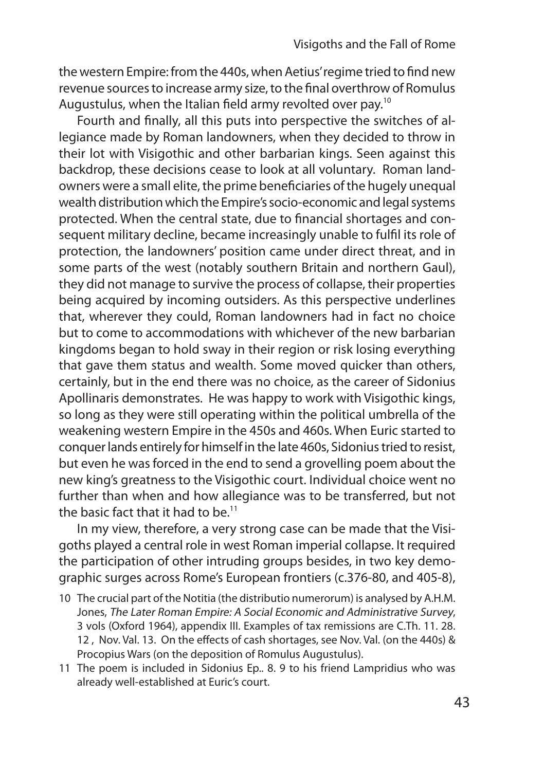the western Empire: from the 440s, when Aetius' regime tried to find new revenue sources to increase army size, to the final overthrow of Romulus Augustulus, when the Italian field army revolted over pay.<sup>10</sup>

Fourth and finally, all this puts into perspective the switches of allegiance made by Roman landowners, when they decided to throw in their lot with Visigothic and other barbarian kings. Seen against this backdrop, these decisions cease to look at all voluntary. Roman landowners were a small elite, the prime beneficiaries of the hugely unequal wealth distribution which the Empire's socio-economic and legal systems protected. When the central state, due to financial shortages and consequent military decline, became increasingly unable to fulfil its role of protection, the landowners' position came under direct threat, and in some parts of the west (notably southern Britain and northern Gaul), they did not manage to survive the process of collapse, their properties being acquired by incoming outsiders. As this perspective underlines that, wherever they could, Roman landowners had in fact no choice but to come to accommodations with whichever of the new barbarian kingdoms began to hold sway in their region or risk losing everything that gave them status and wealth. Some moved quicker than others, certainly, but in the end there was no choice, as the career of Sidonius Apollinaris demonstrates. He was happy to work with Visigothic kings, so long as they were still operating within the political umbrella of the weakening western Empire in the 450s and 460s. When Euric started to conquer lands entirely for himself in the late 460s, Sidonius tried to resist, but even he was forced in the end to send a grovelling poem about the new king's greatness to the Visigothic court. Individual choice went no further than when and how allegiance was to be transferred, but not the basic fact that it had to be.<sup>11</sup>

In my view, therefore, a very strong case can be made that the Visigoths played a central role in west Roman imperial collapse. It required the participation of other intruding groups besides, in two key demographic surges across Rome's European frontiers (c.376-80, and 405-8),

- 10 The crucial part of the Notitia (the distributio numerorum) is analysed by A.H.M. Jones, The Later Roman Empire: A Social Economic and Administrative Survey, 3 vols (Oxford 1964), appendix III. Examples of tax remissions are C.Th. 11. 28. 12 , Nov. Val. 13. On the effects of cash shortages, see Nov. Val. (on the 440s) & Procopius Wars (on the deposition of Romulus Augustulus).
- 11 The poem is included in Sidonius Ep.. 8. 9 to his friend Lampridius who was already well-established at Euric's court.